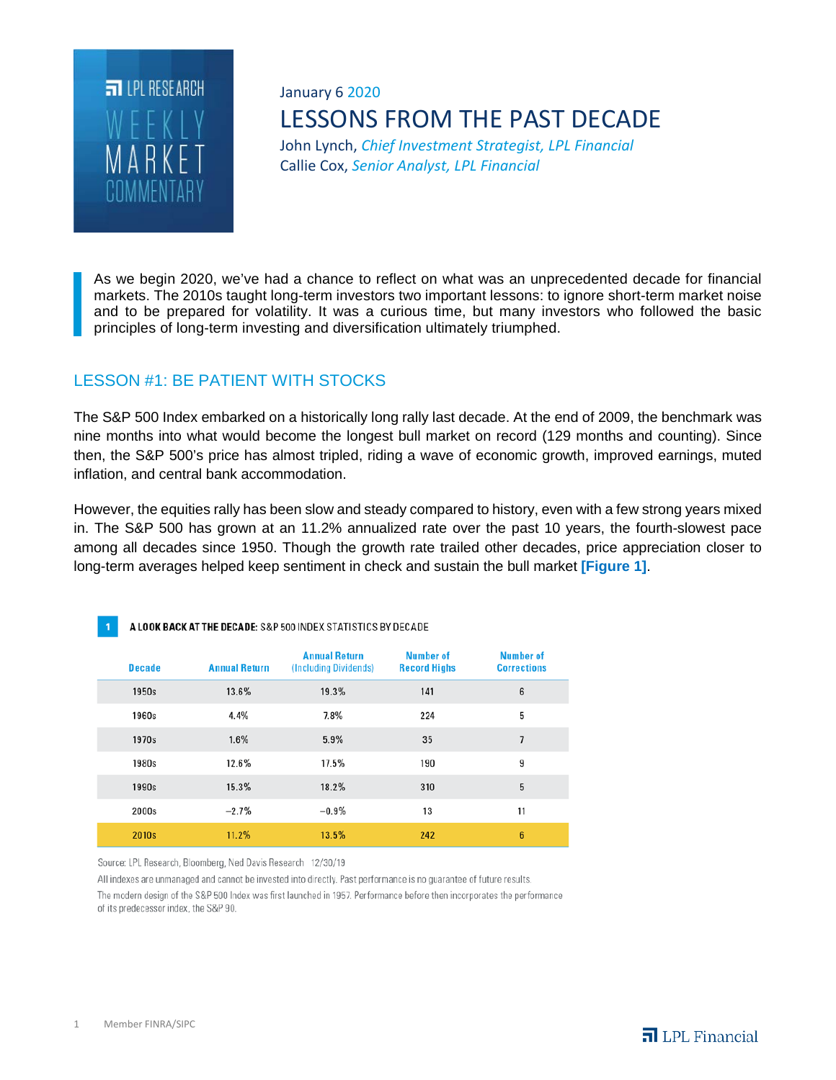

# January 6 2020 LESSONS FROM THE PAST DECADE

John Lynch, *Chief Investment Strategist, LPL Financial* Callie Cox, *Senior Analyst, LPL Financial*

As we begin 2020, we've had a chance to reflect on what was an unprecedented decade for financial markets. The 2010s taught long-term investors two important lessons: to ignore short-term market noise and to be prepared for volatility. It was a curious time, but many investors who followed the basic principles of long-term investing and diversification ultimately triumphed.

### LESSON #1: BE PATIENT WITH STOCKS

The S&P 500 Index embarked on a historically long rally last decade. At the end of 2009, the benchmark was nine months into what would become the longest bull market on record (129 months and counting). Since then, the S&P 500's price has almost tripled, riding a wave of economic growth, improved earnings, muted inflation, and central bank accommodation.

However, the equities rally has been slow and steady compared to history, even with a few strong years mixed in. The S&P 500 has grown at an 11.2% annualized rate over the past 10 years, the fourth-slowest pace among all decades since 1950. Though the growth rate trailed other decades, price appreciation closer to long-term averages helped keep sentiment in check and sustain the bull market **[Figure 1]**.

| A LOOK BACK AT THE DECADE: S&P 500 INDEX STATISTICS BY DECADE<br>п |                      |                                               |                                         |                                        |
|--------------------------------------------------------------------|----------------------|-----------------------------------------------|-----------------------------------------|----------------------------------------|
| <b>Decade</b>                                                      | <b>Annual Return</b> | <b>Annual Return</b><br>(Including Dividends) | <b>Number of</b><br><b>Record Highs</b> | <b>Number of</b><br><b>Corrections</b> |
| 1950s                                                              | 13.6%                | 19.3%                                         | 141                                     | 6                                      |
| 1960s                                                              | 4.4%                 | 7.8%                                          | 224                                     | 5                                      |
| 1970s                                                              | 1.6%                 | 5.9%                                          | 35                                      | 7                                      |
| 1980s                                                              | 12.6%                | 17.5%                                         | 190                                     | 9                                      |
| 1990s                                                              | 15.3%                | 18.2%                                         | 310                                     | 5                                      |
| 2000s                                                              | $-2.7%$              | $-0.9%$                                       | 13                                      | 11                                     |
| 2010s                                                              | 11.2%                | 13.5%                                         | 242                                     | 6                                      |

Source: LPL Research, Bloomberg, Ned Davis Research 12/30/19

All indexes are unmanaged and cannot be invested into directly. Past performance is no guarantee of future results.

The modern design of the S&P 500 Index was first launched in 1957. Performance before then incorporates the performance of its predecessor index, the S&P 90.

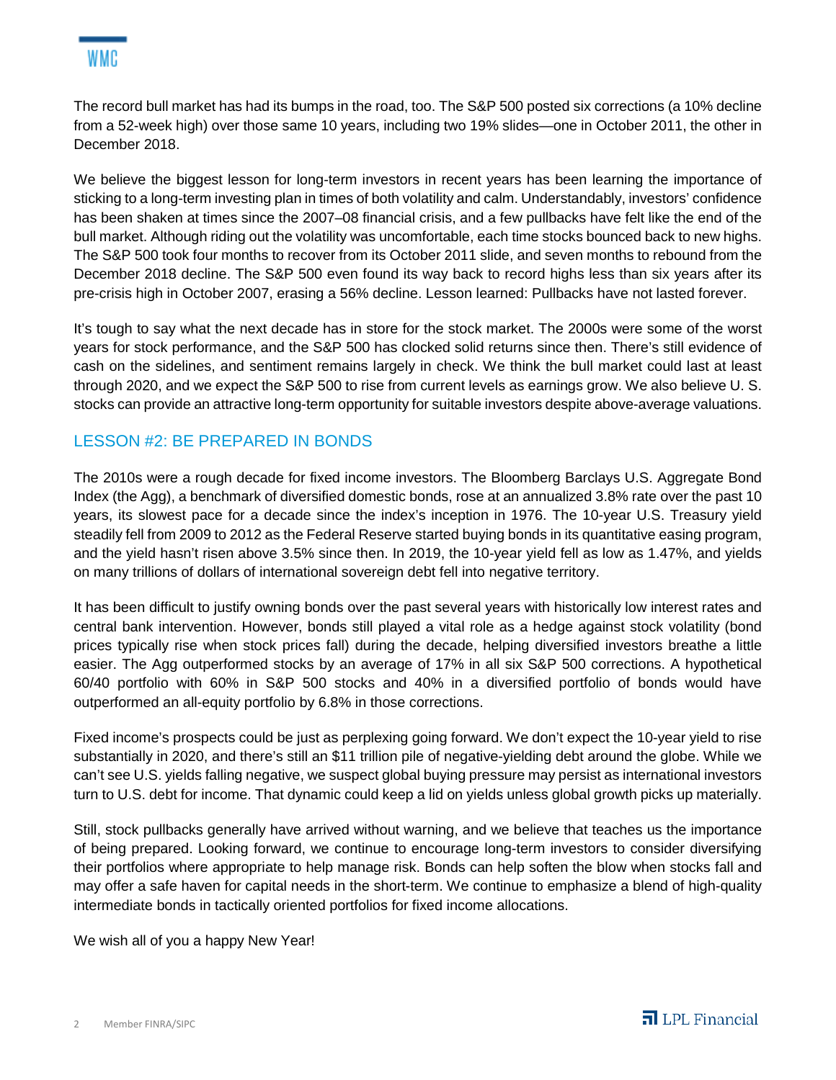

The record bull market has had its bumps in the road, too. The S&P 500 posted six corrections (a 10% decline from a 52-week high) over those same 10 years, including two 19% slides—one in October 2011, the other in December 2018.

We believe the biggest lesson for long-term investors in recent years has been learning the importance of sticking to a long-term investing plan in times of both volatility and calm. Understandably, investors' confidence has been shaken at times since the 2007–08 financial crisis, and a few pullbacks have felt like the end of the bull market. Although riding out the volatility was uncomfortable, each time stocks bounced back to new highs. The S&P 500 took four months to recover from its October 2011 slide, and seven months to rebound from the December 2018 decline. The S&P 500 even found its way back to record highs less than six years after its pre-crisis high in October 2007, erasing a 56% decline. Lesson learned: Pullbacks have not lasted forever.

It's tough to say what the next decade has in store for the stock market. The 2000s were some of the worst years for stock performance, and the S&P 500 has clocked solid returns since then. There's still evidence of cash on the sidelines, and sentiment remains largely in check. We think the bull market could last at least through 2020, and we expect the S&P 500 to rise from current levels as earnings grow. We also believe U. S. stocks can provide an attractive long-term opportunity for suitable investors despite above-average valuations.

## LESSON #2: BE PREPARED IN BONDS

The 2010s were a rough decade for fixed income investors. The Bloomberg Barclays U.S. Aggregate Bond Index (the Agg), a benchmark of diversified domestic bonds, rose at an annualized 3.8% rate over the past 10 years, its slowest pace for a decade since the index's inception in 1976. The 10-year U.S. Treasury yield steadily fell from 2009 to 2012 as the Federal Reserve started buying bonds in its quantitative easing program, and the yield hasn't risen above 3.5% since then. In 2019, the 10-year yield fell as low as 1.47%, and yields on many trillions of dollars of international sovereign debt fell into negative territory.

It has been difficult to justify owning bonds over the past several years with historically low interest rates and central bank intervention. However, bonds still played a vital role as a hedge against stock volatility (bond prices typically rise when stock prices fall) during the decade, helping diversified investors breathe a little easier. The Agg outperformed stocks by an average of 17% in all six S&P 500 corrections. A hypothetical 60/40 portfolio with 60% in S&P 500 stocks and 40% in a diversified portfolio of bonds would have outperformed an all-equity portfolio by 6.8% in those corrections.

Fixed income's prospects could be just as perplexing going forward. We don't expect the 10-year yield to rise substantially in 2020, and there's still an \$11 trillion pile of negative-yielding debt around the globe. While we can't see U.S. yields falling negative, we suspect global buying pressure may persist as international investors turn to U.S. debt for income. That dynamic could keep a lid on yields unless global growth picks up materially.

Still, stock pullbacks generally have arrived without warning, and we believe that teaches us the importance of being prepared. Looking forward, we continue to encourage long-term investors to consider diversifying their portfolios where appropriate to help manage risk. Bonds can help soften the blow when stocks fall and may offer a safe haven for capital needs in the short-term. We continue to emphasize a blend of high-quality intermediate bonds in tactically oriented portfolios for fixed income allocations.

We wish all of you a happy New Year!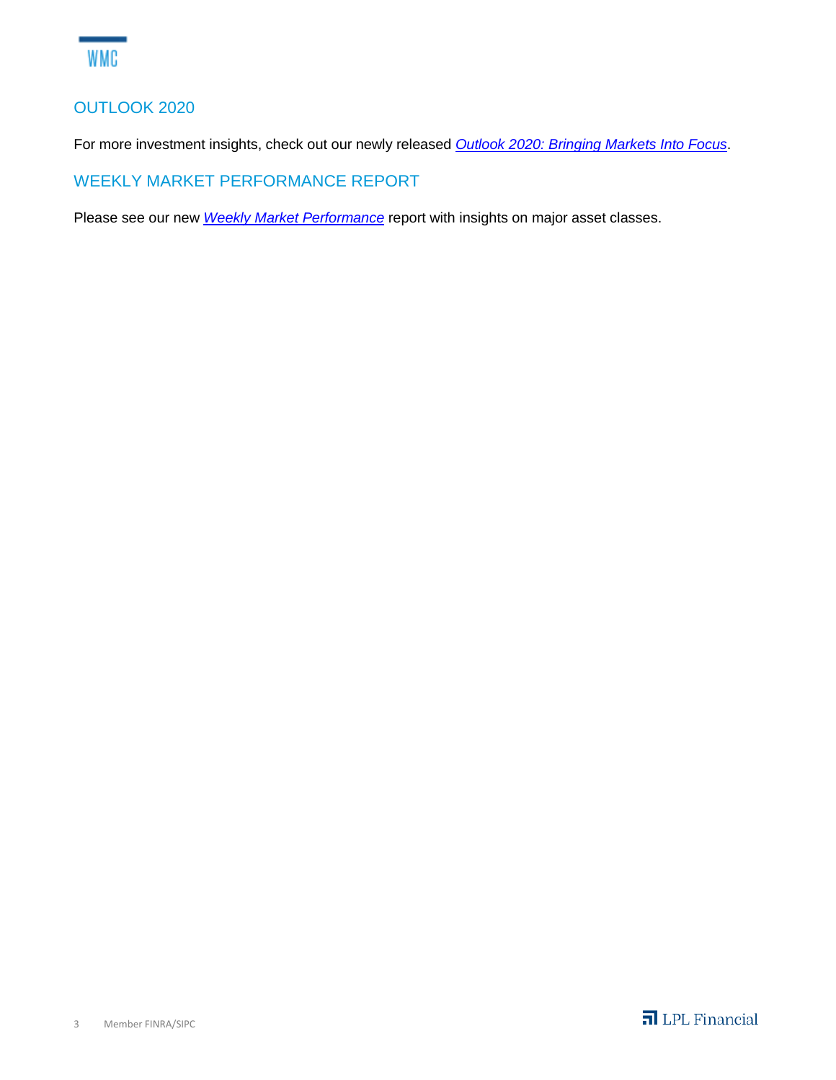## OUTLOOK 2020

For more investment insights, check out our newly released *[Outlook 2020: Bringing Markets Into Focus](http://view.ceros.com/lpl/outlook-2020/p/1)*.

WEEKLY MARKET PERFORMANCE REPORT

Please see our new *[Weekly Market Performance](https://lpl-research.com/web_users/rss/LPL_RSS_Feeds_Publications/WMP/WeeklyMarketPerformance_010320.pdf)* report with insights on major asset classes.